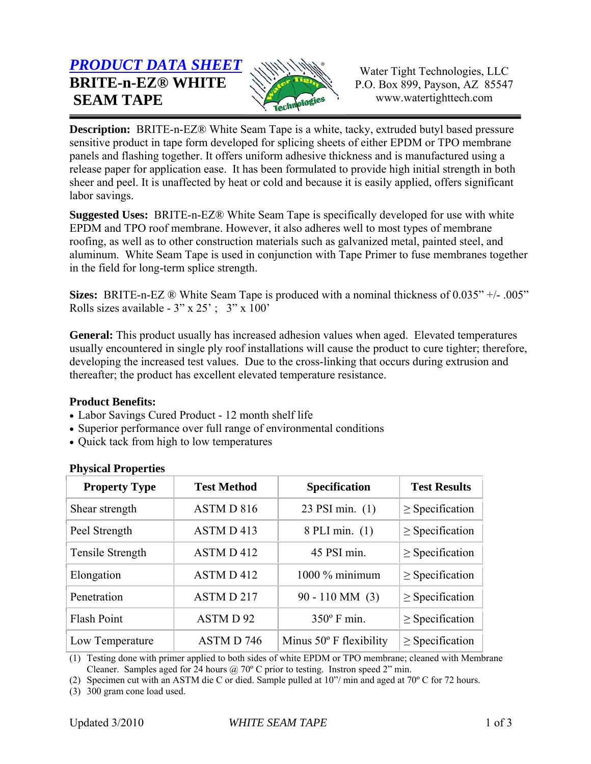# *PRODUCT DATA SHEET* **BRITE-n-EZ® WHITE SEAM TAPE**



Water Tight Technologies, LLC P.O. Box 899, Payson, AZ 85547 www.watertighttech.com

**Description:** BRITE-n-EZ® White Seam Tape is a white, tacky, extruded butyl based pressure sensitive product in tape form developed for splicing sheets of either EPDM or TPO membrane panels and flashing together. It offers uniform adhesive thickness and is manufactured using a release paper for application ease. It has been formulated to provide high initial strength in both sheer and peel. It is unaffected by heat or cold and because it is easily applied, offers significant labor savings.

**Suggested Uses:** BRITE-n-EZ® White Seam Tape is specifically developed for use with white EPDM and TPO roof membrane. However, it also adheres well to most types of membrane roofing, as well as to other construction materials such as galvanized metal, painted steel, and aluminum. White Seam Tape is used in conjunction with Tape Primer to fuse membranes together in the field for long-term splice strength.

**Sizes:** BRITE-n-EZ ® White Seam Tape is produced with a nominal thickness of 0.035" +/- .005" Rolls sizes available -  $3'' \times 25'$ ;  $3'' \times 100'$ 

**General:** This product usually has increased adhesion values when aged. Elevated temperatures usually encountered in single ply roof installations will cause the product to cure tighter; therefore, developing the increased test values. Due to the cross-linking that occurs during extrusion and thereafter; the product has excellent elevated temperature resistance.

# **Product Benefits:**

- Labor Savings Cured Product 12 month shelf life
- Superior performance over full range of environmental conditions
- Quick tack from high to low temperatures

| <b>Property Type</b> | <b>Test Method</b> | <b>Specification</b>             | <b>Test Results</b>  |
|----------------------|--------------------|----------------------------------|----------------------|
| Shear strength       | ASTM D 816         | 23 PSI min. (1)                  | $\geq$ Specification |
| Peel Strength        | ASTM D 413         | 8 PLI min. (1)                   | $\geq$ Specification |
| Tensile Strength     | ASTM D 412         | 45 PSI min.                      | $\geq$ Specification |
| Elongation           | ASTM D 412         | 1000 % minimum                   | $\geq$ Specification |
| Penetration          | ASTMD 217          | $90 - 110$ MM $(3)$              | $\geq$ Specification |
| Flash Point          | ASTMD92            | $350^{\circ}$ F min.             | $\geq$ Specification |
| Low Temperature      | ASTM D 746         | Minus $50^{\circ}$ F flexibility | $\geq$ Specification |

# **Physical Properties**

(1) Testing done with primer applied to both sides of white EPDM or TPO membrane; cleaned with Membrane Cleaner. Samples aged for 24 hours  $\omega$  70° C prior to testing. Instron speed 2" min.

(2) Specimen cut with an ASTM die C or died. Sample pulled at 10"/ min and aged at 70º C for 72 hours.

(3) 300 gram cone load used.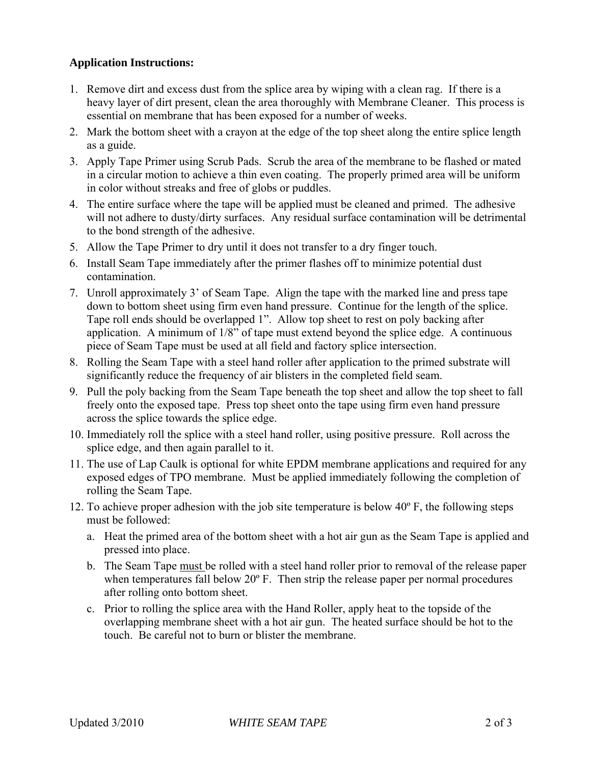### **Application Instructions:**

- 1. Remove dirt and excess dust from the splice area by wiping with a clean rag. If there is a heavy layer of dirt present, clean the area thoroughly with Membrane Cleaner. This process is essential on membrane that has been exposed for a number of weeks.
- 2. Mark the bottom sheet with a crayon at the edge of the top sheet along the entire splice length as a guide.
- 3. Apply Tape Primer using Scrub Pads. Scrub the area of the membrane to be flashed or mated in a circular motion to achieve a thin even coating. The properly primed area will be uniform in color without streaks and free of globs or puddles.
- 4. The entire surface where the tape will be applied must be cleaned and primed. The adhesive will not adhere to dusty/dirty surfaces. Any residual surface contamination will be detrimental to the bond strength of the adhesive.
- 5. Allow the Tape Primer to dry until it does not transfer to a dry finger touch.
- 6. Install Seam Tape immediately after the primer flashes off to minimize potential dust contamination.
- 7. Unroll approximately 3' of Seam Tape. Align the tape with the marked line and press tape down to bottom sheet using firm even hand pressure. Continue for the length of the splice. Tape roll ends should be overlapped 1". Allow top sheet to rest on poly backing after application. A minimum of 1/8" of tape must extend beyond the splice edge. A continuous piece of Seam Tape must be used at all field and factory splice intersection.
- 8. Rolling the Seam Tape with a steel hand roller after application to the primed substrate will significantly reduce the frequency of air blisters in the completed field seam.
- 9. Pull the poly backing from the Seam Tape beneath the top sheet and allow the top sheet to fall freely onto the exposed tape. Press top sheet onto the tape using firm even hand pressure across the splice towards the splice edge.
- 10. Immediately roll the splice with a steel hand roller, using positive pressure. Roll across the splice edge, and then again parallel to it.
- 11. The use of Lap Caulk is optional for white EPDM membrane applications and required for any exposed edges of TPO membrane. Must be applied immediately following the completion of rolling the Seam Tape.
- 12. To achieve proper adhesion with the job site temperature is below 40º F, the following steps must be followed:
	- a. Heat the primed area of the bottom sheet with a hot air gun as the Seam Tape is applied and pressed into place.
	- b. The Seam Tape must be rolled with a steel hand roller prior to removal of the release paper when temperatures fall below 20<sup>°</sup> F. Then strip the release paper per normal procedures after rolling onto bottom sheet.
	- c. Prior to rolling the splice area with the Hand Roller, apply heat to the topside of the overlapping membrane sheet with a hot air gun. The heated surface should be hot to the touch. Be careful not to burn or blister the membrane.